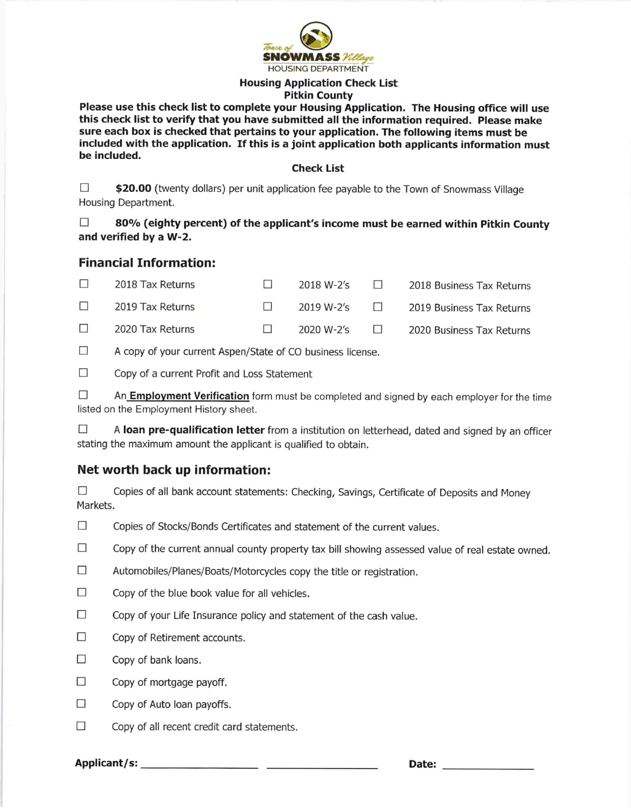

#### Housing Application Check List Pitkin County

Please use this check list to complete your Housing Application. The Housing office will use this check list to verify that you have submitted all the information required. please make sure each box is checked that pertains to your application. The following items must be included with the application. If this is a joint application both applicants information must be included.

#### Check List

 $\Box$  \$20.00 (twenty dollars) per unit application fee payable to the Town of Snowmass Village Housing Department.

 $\Box$  80% (eighty percent) of the applicant's income must be earned within Pitkin County and verified by a W-2.

### Financial Information:

| $\Box$                                                                                                                                                                                                                               | 2018 Tax Returns | $\top$ | 2018 W-2's | $\Box$ | 2018 Business Tax Returns |
|--------------------------------------------------------------------------------------------------------------------------------------------------------------------------------------------------------------------------------------|------------------|--------|------------|--------|---------------------------|
| <b>The Contract of the Contract of the Contract of the Contract of the Contract of the Contract of the Contract of the Contract of the Contract of the Contract of the Contract of the Contract of the Contract of the Contract </b> | 2019 Tax Returns |        | 2019 W-2's | $\Box$ | 2019 Business Tax Returns |
| $\Box$                                                                                                                                                                                                                               | 2020 Tax Returns |        | 2020 W-2's | $\Box$ | 2020 Business Tax Returns |

 $\Box$  A copy of your current Aspen/State of CO business license.

 $\Box$  Copy of a current Profit and Loss Statement

 $\Box$  An **Employment Verification** form must be completed and signed by each employer for the time listed on the Employment History sheet.

 $\Box$  A loan pre-qualification letter from a institution on letterhead, dated and signed by an officer stating the maximum amount the applicant is qualified to obtain.

## Net worth back up information:

 $\Box$  Copies of all bank account statements: Checking, Savings, Certificate of Deposits and Money Markets.

- $\Box$  Copies of Stocks/Bonds Certificates and statement of the current values.
- $\Box$  Copy of the current annual county property tax bill showing assessed value of real estate owned.
- $\Box$  Automobiles/Planes/Boats/Motorcycles copy the title or registration.
- $\Box$  Copy of the blue book value for all vehicles.
- $\Box$  Copy of your Life Insurance policy and statement of the cash value.
- $\Box$  Copy of Retirement accounts.
- $\Box$  Copy of bank loans.
- $\Box$  Copy of mortgage payoff.
- $\Box$  Copy of Auto loan payoffs.
- $\Box$  Copy of all recent credit card statements.

Applicant/s: Date: